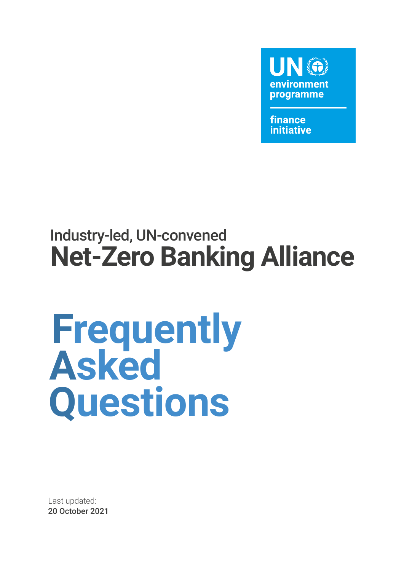

finance **initiative** 

### Industry-led, UN-convened **Net-Zero Banking Alliance**

# **Frequently Asked Questions**

Last updated: 20 October 2021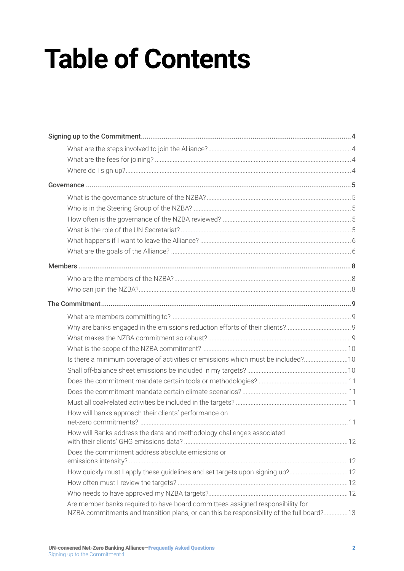## **Table of Contents**

| Is there a minimum coverage of activities or emissions which must be included?10                                                                                            |  |
|-----------------------------------------------------------------------------------------------------------------------------------------------------------------------------|--|
|                                                                                                                                                                             |  |
|                                                                                                                                                                             |  |
|                                                                                                                                                                             |  |
|                                                                                                                                                                             |  |
| How will banks approach their clients' performance on                                                                                                                       |  |
|                                                                                                                                                                             |  |
| How will Banks address the data and methodology challenges associated                                                                                                       |  |
| Does the commitment address absolute emissions or                                                                                                                           |  |
|                                                                                                                                                                             |  |
|                                                                                                                                                                             |  |
|                                                                                                                                                                             |  |
|                                                                                                                                                                             |  |
| Are member banks required to have board committees assigned responsibility for<br>NZBA commitments and transition plans, or can this be responsibility of the full board?13 |  |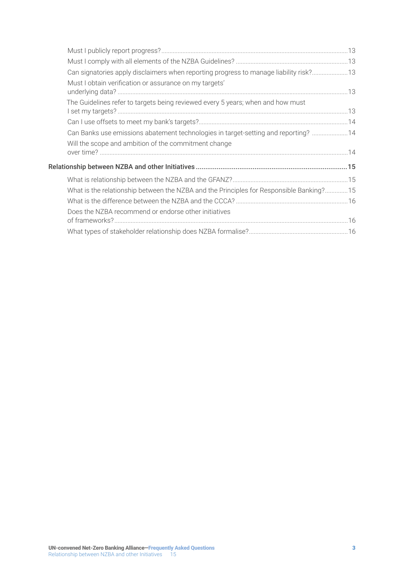| Can signatories apply disclaimers when reporting progress to manage liability risk? 13   |  |
|------------------------------------------------------------------------------------------|--|
| Must I obtain verification or assurance on my targets'                                   |  |
| The Guidelines refer to targets being reviewed every 5 years; when and how must          |  |
|                                                                                          |  |
| Can Banks use emissions abatement technologies in target-setting and reporting?  14      |  |
| Will the scope and ambition of the commitment change                                     |  |
|                                                                                          |  |
|                                                                                          |  |
| What is the relationship between the NZBA and the Principles for Responsible Banking? 15 |  |
|                                                                                          |  |
| Does the NZBA recommend or endorse other initiatives                                     |  |
|                                                                                          |  |
|                                                                                          |  |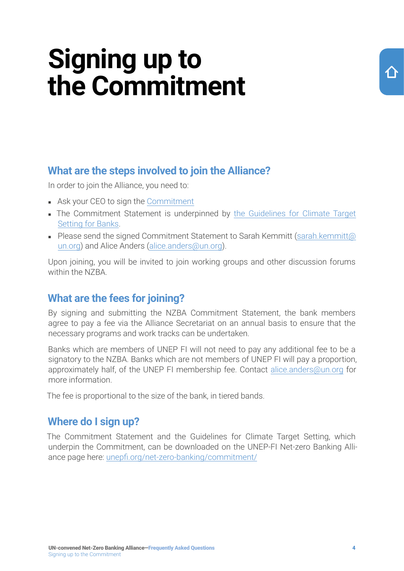### <span id="page-3-0"></span>**Signing up to the Commitment**

#### <span id="page-3-1"></span>**What are the steps involved to join the Alliance?**

In order to join the Alliance, you need to:

- Ask your CEO to sign the [Commitment](https://www.unepfi.org/wordpress/wp-content/uploads/2021/04/UNEP-FI-NZBA-Commitment-Statement.pdf)
- The Commitment Statement is underpinned by the Guidelines for Climate Target [Setting for Banks](https://7f0f76c0.sibforms.com/serve/MUIEAAZdvrZ_D_V0MF4mWsjly_cLGGi2Mt1m8itEu7CUJQ1fDFCylNHQV8wvJD3xotQCC8JGpK_NlQVNlg16lkroK2YuPry-bz_kfZw6PA-_RrrFiXVSQLLsUYXzzynDf0Rmt0huf69yiWPdy_v7TXdKpRQqJFv_SmDcDO8kFaBFMxFInTJ4MCo06w5ql0zqoX9K6_XXnbxbgmKD).
- Please send the signed Commitment Statement to Sarah Kemmitt ([sarah.kemmitt@](mailto:sarah.kemmitt@un.org) [un.org\)](mailto:sarah.kemmitt@un.org) and Alice Anders [\(alice.anders@un.org](mailto:alice.anders@un.org)).

Upon joining, you will be invited to join working groups and other discussion forums within the NZBA.

#### **What are the fees for joining?**

By signing and submitting the NZBA Commitment Statement, the bank members agree to pay a fee via the Alliance Secretariat on an annual basis to ensure that the necessary programs and work tracks can be undertaken.

Banks which are members of UNEP FI will not need to pay any additional fee to be a signatory to the NZBA. Banks which are not members of UNEP FI will pay a proportion, approximately half, of the UNEP FI membership fee. Contact [alice.anders@un.org](mailto:alice.anders@un.org) for more information.

The fee is proportional to the size of the bank, in tiered bands.

#### **Where do I sign up?**

The Commitment Statement and the Guidelines for Climate Target Setting, which underpin the Commitment, can be downloaded on the UNEP-FI Net-zero Banking Alliance page here: [unepfi.org/net-zero-banking/commitment/](https://www.unepfi.org/net-zero-banking/commitment/)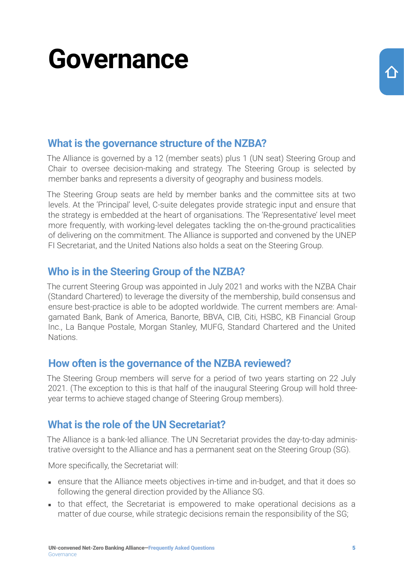### <span id="page-4-0"></span>**Governance**

#### **What is the governance structure of the NZBA?**

The Alliance is governed by a 12 (member seats) plus 1 (UN seat) Steering Group and Chair to oversee decision-making and strategy. The Steering Group is selected by member banks and represents a diversity of geography and business models.

The Steering Group seats are held by member banks and the committee sits at two levels. At the 'Principal' level, C-suite delegates provide strategic input and ensure that the strategy is embedded at the heart of organisations. The 'Representative' level meet more frequently, with working-level delegates tackling the on-the-ground practicalities of delivering on the commitment. The Alliance is supported and convened by the UNEP FI Secretariat, and the United Nations also holds a seat on the Steering Group.

#### **Who is in the Steering Group of the NZBA?**

The current Steering Group was appointed in July 2021 and works with the NZBA Chair (Standard Chartered) to leverage the diversity of the membership, build consensus and ensure best-practice is able to be adopted worldwide. The current members are: Amalgamated Bank, Bank of America, Banorte, BBVA, CIB, Citi, HSBC, KB Financial Group Inc., La Banque Postale, Morgan Stanley, MUFG, Standard Chartered and the United Nations.

#### **How often is the governance of the NZBA reviewed?**

The Steering Group members will serve for a period of two years starting on 22 July 2021. (The exception to this is that half of the inaugural Steering Group will hold threeyear terms to achieve staged change of Steering Group members).

#### **What is the role of the UN Secretariat?**

The Alliance is a bank-led alliance. The UN Secretariat provides the day-to-day administrative oversight to the Alliance and has a permanent seat on the Steering Group (SG).

More specifically, the Secretariat will:

- ensure that the Alliance meets objectives in-time and in-budget, and that it does so following the general direction provided by the Alliance SG.
- to that effect, the Secretariat is empowered to make operational decisions as a matter of due course, while strategic decisions remain the responsibility of the SG;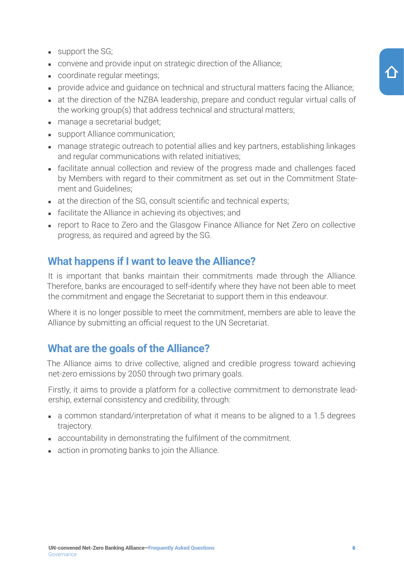- <span id="page-5-0"></span> $\blacksquare$  support the SG;
- convene and provide input on strategic direction of the Alliance;
- coordinate regular meetings;
- provide advice and quidance on technical and structural matters facing the Alliance;
- at the direction of the NZBA leadership, prepare and conduct regular virtual calls of the working group(s) that address technical and structural matters;
- manage a secretarial budget;
- support Alliance communication;
- manage strategic outreach to potential allies and key partners, establishing linkages and regular communications with related initiatives;
- facilitate annual collection and review of the progress made and challenges faced by Members with regard to their commitment as set out in the Commitment Statement and Guidelines;
- at the direction of the SG, consult scientific and technical experts;
- facilitate the Alliance in achieving its objectives; and
- report to Race to Zero and the Glasgow Finance Alliance for Net Zero on collective progress, as required and agreed by the SG.

#### **What happens if I want to leave the Alliance?**

It is important that banks maintain their commitments made through the Alliance. Therefore, banks are encouraged to self-identify where they have not been able to meet the commitment and engage the Secretariat to support them in this endeavour.

Where it is no longer possible to meet the commitment, members are able to leave the Alliance by submitting an official request to the UN Secretariat.

#### **What are the goals of the Alliance?**

The Alliance aims to drive collective, aligned and credible progress toward achieving net-zero emissions by 2050 through two primary goals.

Firstly, it aims to provide a platform for a collective commitment to demonstrate leadership, external consistency and credibility, through:

- a common standard/interpretation of what it means to be aligned to a 1.5 degrees trajectory.
- accountability in demonstrating the fulfilment of the commitment.
- action in promoting banks to join the Alliance.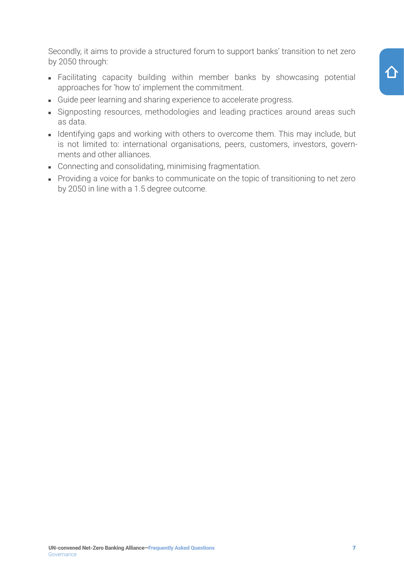Secondly, it aims to provide a structured forum to support banks' transition to net zero by 2050 through:

- Facilitating capacity building within member banks by showcasing potential approaches for 'how to' implement the commitment.
- Guide peer learning and sharing experience to accelerate progress.
- Signposting resources, methodologies and leading practices around areas such as data.
- Identifying gaps and working with others to overcome them. This may include, but is not limited to: international organisations, peers, customers, investors, governments and other alliances.
- Connecting and consolidating, minimising fragmentation.
- Providing a voice for banks to communicate on the topic of transitioning to net zero by 2050 in line with a 1.5 degree outcome.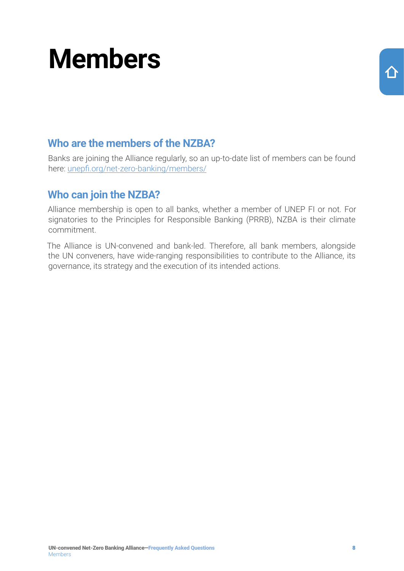### <span id="page-7-0"></span>**Members**

#### **Who are the members of the NZBA?**

Banks are joining the Alliance regularly, so an up-to-date list of members can be found here: [unepfi.org/net-zero-banking/members/](https://www.unepfi.org/net-zero-banking/members/)

#### **Who can join the NZBA?**

Alliance membership is open to all banks, whether a member of UNEP FI or not. For signatories to the Principles for Responsible Banking (PRRB), NZBA is their climate commitment.

The Alliance is UN-convened and bank-led. Therefore, all bank members, alongside the UN conveners, have wide-ranging responsibilities to contribute to the Alliance, its governance, its strategy and the execution of its intended actions.

介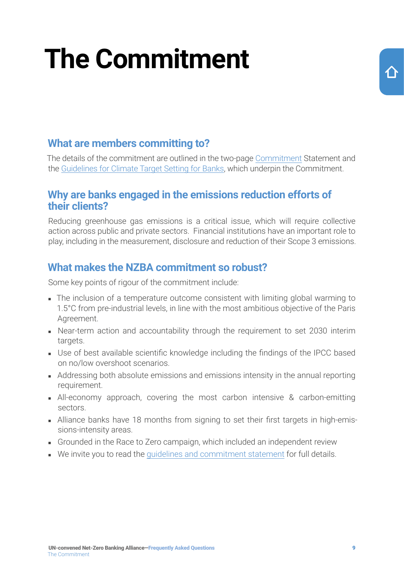## <span id="page-8-0"></span>**The Commitment**

#### **What are members committing to?**

The details of the commitment are outlined in the two-page [Commitment](https://www.unepfi.org/wordpress/wp-content/uploads/2021/04/UNEP-FI-NZBA-Commitment-Statement.pdf) Statement and the [Guidelines for Climate Target Setting for Banks](https://7f0f76c0.sibforms.com/serve/MUIEAAZdvrZ_D_V0MF4mWsjly_cLGGi2Mt1m8itEu7CUJQ1fDFCylNHQV8wvJD3xotQCC8JGpK_NlQVNlg16lkroK2YuPry-bz_kfZw6PA-_RrrFiXVSQLLsUYXzzynDf0Rmt0huf69yiWPdy_v7TXdKpRQqJFv_SmDcDO8kFaBFMxFInTJ4MCo06w5ql0zqoX9K6_XXnbxbgmKD), which underpin the Commitment.

#### **Why are banks engaged in the emissions reduction efforts of their clients?**

Reducing greenhouse gas emissions is a critical issue, which will require collective action across public and private sectors. Financial institutions have an important role to play, including in the measurement, disclosure and reduction of their Scope 3 emissions.

#### **What makes the NZBA commitment so robust?**

Some key points of rigour of the commitment include:

- The inclusion of a temperature outcome consistent with limiting global warming to 1.5°C from pre-industrial levels, in line with the most ambitious objective of the Paris Agreement.
- Near-term action and accountability through the requirement to set 2030 interim targets.
- Use of best available scientific knowledge including the findings of the IPCC based on no/low overshoot scenarios.
- Addressing both absolute emissions and emissions intensity in the annual reporting requirement.
- All-economy approach, covering the most carbon intensive & carbon-emitting sectors.
- Alliance banks have 18 months from signing to set their first targets in high-emissions-intensity areas.
- Grounded in the Race to Zero campaign, which included an independent review
- We invite you to read the [guidelines and commitment statement](https://www.unepfi.org/net-zero-banking/commitment/) for full details.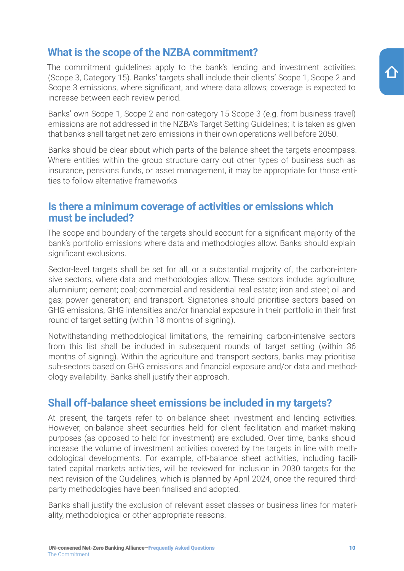### UN-convened Net-Zero Banking Alliance—Frequently Asked Questions 10 The Commitment

#### <span id="page-9-0"></span>**What is the scope of the NZBA commitment?**

The commitment guidelines apply to the bank's lending and investment activities. (Scope 3, Category 15). Banks' targets shall include their clients' Scope 1, Scope 2 and Scope 3 emissions, where significant, and where data allows; coverage is expected to increase between each review period.

Banks' own Scope 1, Scope 2 and non-category 15 Scope 3 (e.g. from business travel) emissions are not addressed in the NZBA's Target Setting Guidelines; it is taken as given that banks shall target net-zero emissions in their own operations well before 2050.

Banks should be clear about which parts of the balance sheet the targets encompass. Where entities within the group structure carry out other types of business such as insurance, pensions funds, or asset management, it may be appropriate for those entities to follow alternative frameworks

#### **Is there a minimum coverage of activities or emissions which must be included?**

The scope and boundary of the targets should account for a significant majority of the bank's portfolio emissions where data and methodologies allow. Banks should explain significant exclusions.

Sector-level targets shall be set for all, or a substantial majority of, the carbon-intensive sectors, where data and methodologies allow. These sectors include: agriculture; aluminium; cement; coal; commercial and residential real estate; iron and steel; oil and gas; power generation; and transport. Signatories should prioritise sectors based on GHG emissions, GHG intensities and/or financial exposure in their portfolio in their first round of target setting (within 18 months of signing).

Notwithstanding methodological limitations, the remaining carbon-intensive sectors from this list shall be included in subsequent rounds of target setting (within 36 months of signing). Within the agriculture and transport sectors, banks may prioritise sub-sectors based on GHG emissions and financial exposure and/or data and methodology availability. Banks shall justify their approach.

#### **Shall off-balance sheet emissions be included in my targets?**

At present, the targets refer to on-balance sheet investment and lending activities. However, on-balance sheet securities held for client facilitation and market-making purposes (as opposed to held for investment) are excluded. Over time, banks should increase the volume of investment activities covered by the targets in line with methodological developments. For example, off-balance sheet activities, including facilitated capital markets activities, will be reviewed for inclusion in 2030 targets for the next revision of the Guidelines, which is planned by April 2024, once the required thirdparty methodologies have been finalised and adopted.

Banks shall justify the exclusion of relevant asset classes or business lines for materiality, methodological or other appropriate reasons.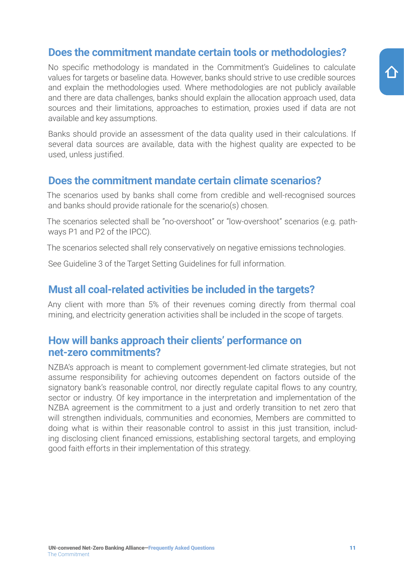#### <span id="page-10-0"></span>**Does the commitment mandate certain tools or methodologies?**

No specific methodology is mandated in the Commitment's Guidelines to calculate values for targets or baseline data. However, banks should strive to use credible sources and explain the methodologies used. Where methodologies are not publicly available and there are data challenges, banks should explain the allocation approach used, data sources and their limitations, approaches to estimation, proxies used if data are not available and key assumptions.

Banks should provide an assessment of the data quality used in their calculations. If several data sources are available, data with the highest quality are expected to be used, unless justified.

#### **Does the commitment mandate certain climate scenarios?**

The scenarios used by banks shall come from credible and well-recognised sources and banks should provide rationale for the scenario(s) chosen.

The scenarios selected shall be "no-overshoot" or "low-overshoot" scenarios (e.g. pathways P1 and P2 of the IPCC).

The scenarios selected shall rely conservatively on negative emissions technologies.

See Guideline 3 of the Target Setting Guidelines for full information.

#### **Must all coal-related activities be included in the targets?**

Any client with more than 5% of their revenues coming directly from thermal coal mining, and electricity generation activities shall be included in the scope of targets.

#### **How will banks approach their clients' performance on net-zero commitments?**

NZBA's approach is meant to complement government-led climate strategies, but not assume responsibility for achieving outcomes dependent on factors outside of the signatory bank's reasonable control, nor directly regulate capital flows to any country, sector or industry. Of key importance in the interpretation and implementation of the NZBA agreement is the commitment to a just and orderly transition to net zero that will strengthen individuals, communities and economies, Members are committed to doing what is within their reasonable control to assist in this just transition, including disclosing client financed emissions, establishing sectoral targets, and employing good faith efforts in their implementation of this strategy.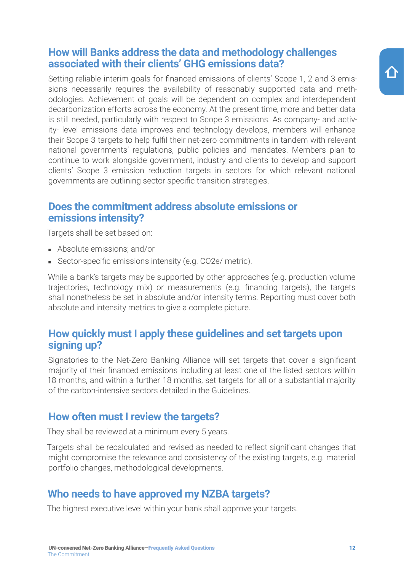#### <span id="page-11-0"></span>**How will Banks address the data and methodology challenges associated with their clients' GHG emissions data?**

Setting reliable interim goals for financed emissions of clients' Scope 1, 2 and 3 emissions necessarily requires the availability of reasonably supported data and methodologies. Achievement of goals will be dependent on complex and interdependent decarbonization efforts across the economy. At the present time, more and better data is still needed, particularly with respect to Scope 3 emissions. As company- and activity- level emissions data improves and technology develops, members will enhance their Scope 3 targets to help fulfil their net-zero commitments in tandem with relevant national governments' regulations, public policies and mandates. Members plan to continue to work alongside government, industry and clients to develop and support clients' Scope 3 emission reduction targets in sectors for which relevant national governments are outlining sector specific transition strategies.

#### **Does the commitment address absolute emissions or emissions intensity?**

Targets shall be set based on:

- Absolute emissions; and/or
- Sector-specific emissions intensity (e.g. CO2e/ metric).

While a bank's targets may be supported by other approaches (e.g. production volume trajectories, technology mix) or measurements (e.g. financing targets), the targets shall nonetheless be set in absolute and/or intensity terms. Reporting must cover both absolute and intensity metrics to give a complete picture.

#### **How quickly must I apply these guidelines and set targets upon signing up?**

Signatories to the Net-Zero Banking Alliance will set targets that cover a significant majority of their financed emissions including at least one of the listed sectors within 18 months, and within a further 18 months, set targets for all or a substantial majority of the carbon-intensive sectors detailed in the Guidelines.

#### **How often must I review the targets?**

They shall be reviewed at a minimum every 5 years.

Targets shall be recalculated and revised as needed to reflect significant changes that might compromise the relevance and consistency of the existing targets, e.g. material portfolio changes, methodological developments.

#### **Who needs to have approved my NZBA targets?**

The highest executive level within your bank shall approve your targets.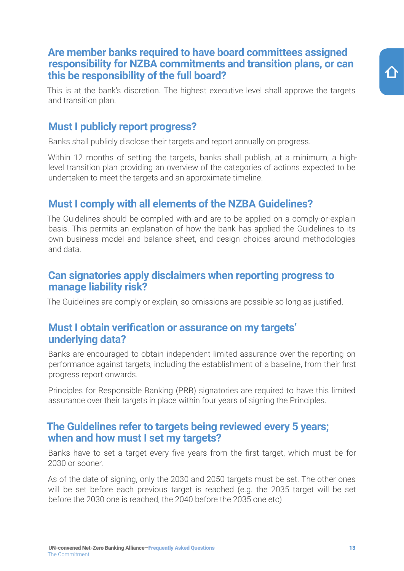#### <span id="page-12-0"></span>**Are member banks required to have board committees assigned responsibility for NZBA commitments and transition plans, or can this be responsibility of the full board?**

This is at the bank's discretion. The highest executive level shall approve the targets and transition plan.

#### **Must I publicly report progress?**

Banks shall publicly disclose their targets and report annually on progress.

Within 12 months of setting the targets, banks shall publish, at a minimum, a highlevel transition plan providing an overview of the categories of actions expected to be undertaken to meet the targets and an approximate timeline.

#### **Must I comply with all elements of the NZBA Guidelines?**

The Guidelines should be complied with and are to be applied on a comply-or-explain basis. This permits an explanation of how the bank has applied the Guidelines to its own business model and balance sheet, and design choices around methodologies and data.

#### **Can signatories apply disclaimers when reporting progress to manage liability risk?**

The Guidelines are comply or explain, so omissions are possible so long as justified.

#### **Must I obtain verification or assurance on my targets' underlying data?**

Banks are encouraged to obtain independent limited assurance over the reporting on performance against targets, including the establishment of a baseline, from their first progress report onwards.

Principles for Responsible Banking (PRB) signatories are required to have this limited assurance over their targets in place within four years of signing the Principles.

#### **The Guidelines refer to targets being reviewed every 5 years; when and how must I set my targets?**

Banks have to set a target every five years from the first target, which must be for 2030 or sooner.

As of the date of signing, only the 2030 and 2050 targets must be set. The other ones will be set before each previous target is reached (e.g. the 2035 target will be set before the 2030 one is reached, the 2040 before the 2035 one etc)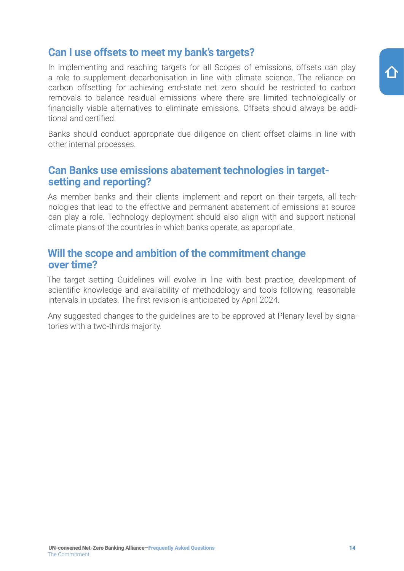#### <span id="page-13-0"></span>**Can I use offsets to meet my bank's targets?**

In implementing and reaching targets for all Scopes of emissions, offsets can play a role to supplement decarbonisation in line with climate science. The reliance on carbon offsetting for achieving end-state net zero should be restricted to carbon removals to balance residual emissions where there are limited technologically or financially viable alternatives to eliminate emissions. Offsets should always be additional and certified.

Banks should conduct appropriate due diligence on client offset claims in line with other internal processes.

#### **Can Banks use emissions abatement technologies in targetsetting and reporting?**

As member banks and their clients implement and report on their targets, all technologies that lead to the effective and permanent abatement of emissions at source can play a role. Technology deployment should also align with and support national climate plans of the countries in which banks operate, as appropriate.

#### **Will the scope and ambition of the commitment change over time?**

The target setting Guidelines will evolve in line with best practice, development of scientific knowledge and availability of methodology and tools following reasonable intervals in updates. The first revision is anticipated by April 2024.

Any suggested changes to the guidelines are to be approved at Plenary level by signatories with a two-thirds majority.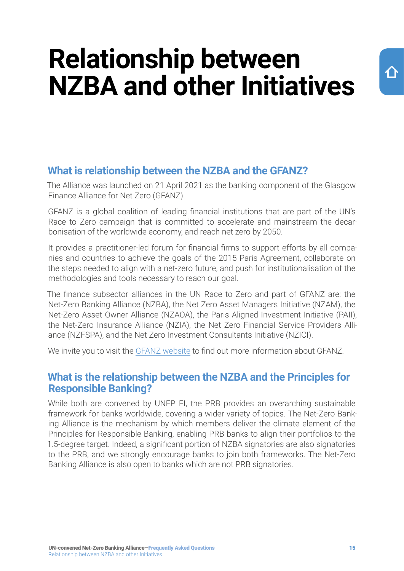### <span id="page-14-0"></span>**Relationship between NZBA and other Initiatives**

#### **What is relationship between the NZBA and the GFANZ?**

The Alliance was launched on 21 April 2021 as the banking component of the Glasgow Finance Alliance for Net Zero (GFANZ).

GFANZ is a global coalition of leading financial institutions that are part of the UN's Race to Zero campaign that is committed to accelerate and mainstream the decarbonisation of the worldwide economy, and reach net zero by 2050.

It provides a practitioner-led forum for financial firms to support efforts by all companies and countries to achieve the goals of the 2015 Paris Agreement, collaborate on the steps needed to align with a net-zero future, and push for institutionalisation of the methodologies and tools necessary to reach our goal.

The finance subsector alliances in the UN Race to Zero and part of GFANZ are: the Net-Zero Banking Alliance (NZBA), the Net Zero Asset Managers Initiative (NZAM), the Net-Zero Asset Owner Alliance (NZAOA), the Paris Aligned Investment Initiative (PAII), the Net-Zero Insurance Alliance (NZIA), the Net Zero Financial Service Providers Alliance (NZFSPA), and the Net Zero Investment Consultants Initiative (NZICI).

We invite you to visit the [GFANZ website](https://www.gfanzero.com/) to find out more information about GFANZ.

#### **What is the relationship between the NZBA and the Principles for Responsible Banking?**

While both are convened by UNEP FI, the PRB provides an overarching sustainable framework for banks worldwide, covering a wider variety of topics. The Net-Zero Banking Alliance is the mechanism by which members deliver the climate element of the Principles for Responsible Banking, enabling PRB banks to align their portfolios to the 1.5-degree target. Indeed, a significant portion of NZBA signatories are also signatories to the PRB, and we strongly encourage banks to join both frameworks. The Net-Zero Banking Alliance is also open to banks which are not PRB signatories.

 $\curvearrowleft$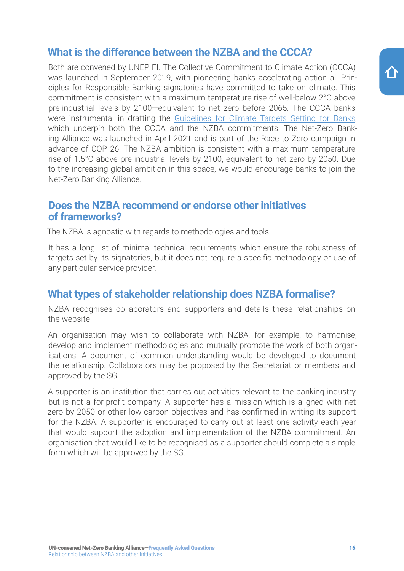#### <span id="page-15-0"></span>**What is the difference between the NZBA and the CCCA?**

Both are convened by UNEP FI. The Collective Commitment to Climate Action (CCCA) was launched in September 2019, with pioneering banks accelerating action all Principles for Responsible Banking signatories have committed to take on climate. This commitment is consistent with a maximum temperature rise of well-below 2°C above pre-industrial levels by 2100—equivalent to net zero before 2065. The CCCA banks were instrumental in drafting the [Guidelines for Climate Targets Setting for Banks,](https://7f0f76c0.sibforms.com/serve/MUIEAAZdvrZ_D_V0MF4mWsjly_cLGGi2Mt1m8itEu7CUJQ1fDFCylNHQV8wvJD3xotQCC8JGpK_NlQVNlg16lkroK2YuPry-bz_kfZw6PA-_RrrFiXVSQLLsUYXzzynDf0Rmt0huf69yiWPdy_v7TXdKpRQqJFv_SmDcDO8kFaBFMxFInTJ4MCo06w5ql0zqoX9K6_XXnbxbgmKD) which underpin both the CCCA and the NZBA commitments. The Net-Zero Banking Alliance was launched in April 2021 and is part of the Race to Zero campaign in advance of COP 26. The NZBA ambition is consistent with a maximum temperature rise of 1.5°C above pre-industrial levels by 2100, equivalent to net zero by 2050. Due to the increasing global ambition in this space, we would encourage banks to join the Net-Zero Banking Alliance.

#### **Does the NZBA recommend or endorse other initiatives of frameworks?**

The NZBA is agnostic with regards to methodologies and tools.

It has a long list of minimal technical requirements which ensure the robustness of targets set by its signatories, but it does not require a specific methodology or use of any particular service provider.

#### **What types of stakeholder relationship does NZBA formalise?**

NZBA recognises collaborators and supporters and details these relationships on the website.

An organisation may wish to collaborate with NZBA, for example, to harmonise, develop and implement methodologies and mutually promote the work of both organisations. A document of common understanding would be developed to document the relationship. Collaborators may be proposed by the Secretariat or members and approved by the SG.

A supporter is an institution that carries out activities relevant to the banking industry but is not a for-profit company. A supporter has a mission which is aligned with net zero by 2050 or other low-carbon objectives and has confirmed in writing its support for the NZBA. A supporter is encouraged to carry out at least one activity each year that would support the adoption and implementation of the NZBA commitment. An organisation that would like to be recognised as a supporter should complete a simple form which will be approved by the SG.